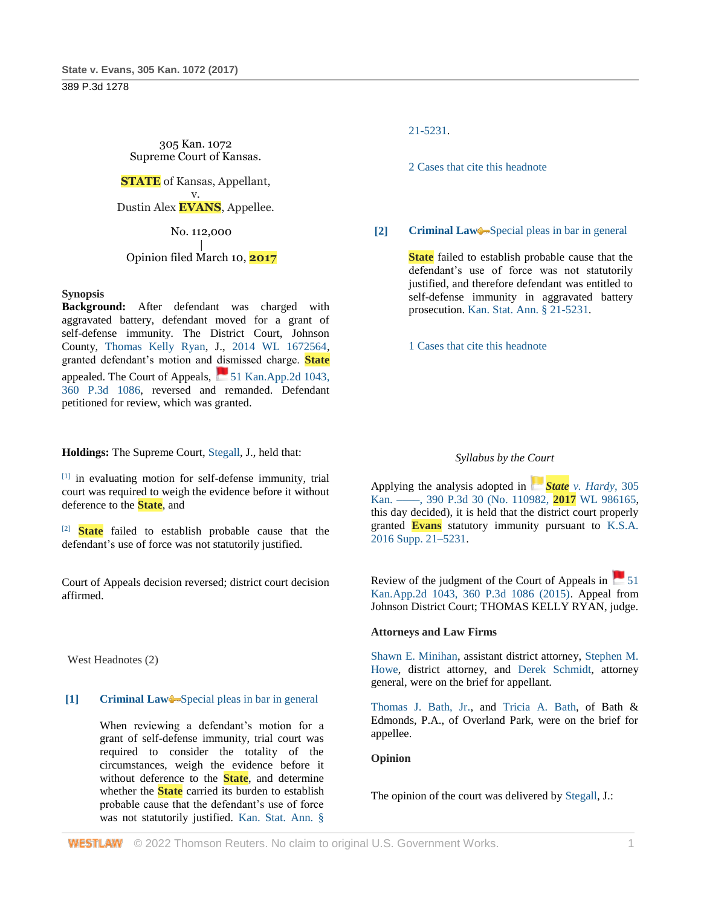305 Kan. 1072 Supreme Court of Kansas.

**STATE** of Kansas, Appellant, v. Dustin Alex **EVANS**, Appellee.

No. 112,000

#### | Opinion filed March 10, **2017**

#### **Synopsis**

**Background:** After defendant was charged with aggravated battery, defendant moved for a grant of self-defense immunity. The District Court, Johnson County, [Thomas Kelly Ryan,](http://www.westlaw.com/Link/Document/FullText?findType=h&pubNum=176284&cite=0206606901&originatingDoc=Ie55e1340099e11e79c1dcfeada4fe8e0&refType=RQ&originationContext=document&vr=3.0&rs=cblt1.0&transitionType=DocumentItem&contextData=(sc.Search)) J., [2014 WL 1672564,](http://www.westlaw.com/Link/Document/FullText?findType=Y&serNum=2033282407&pubNum=0000999&originatingDoc=Ie55e1340099e11e79c1dcfeada4fe8e0&refType=RP&originationContext=document&vr=3.0&rs=cblt1.0&transitionType=DocumentItem&contextData=(sc.Search)) granted defendant's motion and dismissed charge. **State** appealed. The Court of Appeals,  $\Box$  51 Kan.App.2d 1043, [360 P.3d 1086,](http://www.westlaw.com/Link/Document/FullText?findType=Y&serNum=2037450044&pubNum=0004645&originatingDoc=Ie55e1340099e11e79c1dcfeada4fe8e0&refType=RP&originationContext=document&vr=3.0&rs=cblt1.0&transitionType=DocumentItem&contextData=(sc.Search)) reversed and remanded. Defendant petitioned for review, which was granted.

**Holdings:** The Supreme Court, [Stegall,](http://www.westlaw.com/Link/Document/FullText?findType=h&pubNum=176284&cite=0482985901&originatingDoc=Ie55e1340099e11e79c1dcfeada4fe8e0&refType=RQ&originationContext=document&vr=3.0&rs=cblt1.0&transitionType=DocumentItem&contextData=(sc.Search)) J., held that:

[1] in evaluating motion for self-defense immunity, trial court was required to weigh the evidence before it without deference to the **State**, and

[2] **State** failed to establish probable cause that the defendant's use of force was not statutorily justified.

Court of Appeals decision reversed; district court decision affirmed.

West Headnotes (2)

# **[1] [Criminal Law](http://www.westlaw.com/Browse/Home/KeyNumber/110/View.html?docGuid=Ie55e1340099e11e79c1dcfeada4fe8e0&originationContext=document&vr=3.0&rs=cblt1.0&transitionType=DocumentItem&contextData=(sc.Search))** [Special pleas in bar in general](http://www.westlaw.com/Browse/Home/KeyNumber/110k286/View.html?docGuid=Ie55e1340099e11e79c1dcfeada4fe8e0&originationContext=document&vr=3.0&rs=cblt1.0&transitionType=DocumentItem&contextData=(sc.Search))

When reviewing a defendant's motion for a grant of self-defense immunity, trial court was required to consider the totality of the circumstances, weigh the evidence before it without deference to the **State**, and determine whether the **State** carried its burden to establish probable cause that the defendant's use of force was not statutorily justified. [Kan. Stat. Ann. §](http://www.westlaw.com/Link/Document/FullText?findType=L&pubNum=1001553&cite=KSSTS21-5231&originatingDoc=Ie55e1340099e11e79c1dcfeada4fe8e0&refType=LQ&originationContext=document&vr=3.0&rs=cblt1.0&transitionType=DocumentItem&contextData=(sc.Search)) 

[21-5231.](http://www.westlaw.com/Link/Document/FullText?findType=L&pubNum=1001553&cite=KSSTS21-5231&originatingDoc=Ie55e1340099e11e79c1dcfeada4fe8e0&refType=LQ&originationContext=document&vr=3.0&rs=cblt1.0&transitionType=DocumentItem&contextData=(sc.Search))

[2 Cases that cite this headnote](http://www.westlaw.com/Link/RelatedInformation/DocHeadnoteLink?docGuid=Ie55e1340099e11e79c1dcfeada4fe8e0&headnoteId=204123538600220200724173340&originationContext=document&vr=3.0&rs=cblt1.0&transitionType=CitingReferences&contextData=(sc.Search))

# **[2] [Criminal Law](http://www.westlaw.com/Browse/Home/KeyNumber/110/View.html?docGuid=Ie55e1340099e11e79c1dcfeada4fe8e0&originationContext=document&vr=3.0&rs=cblt1.0&transitionType=DocumentItem&contextData=(sc.Search))** [Special pleas in bar in general](http://www.westlaw.com/Browse/Home/KeyNumber/110k286/View.html?docGuid=Ie55e1340099e11e79c1dcfeada4fe8e0&originationContext=document&vr=3.0&rs=cblt1.0&transitionType=DocumentItem&contextData=(sc.Search))

**State** failed to establish probable cause that the defendant's use of force was not statutorily justified, and therefore defendant was entitled to self-defense immunity in aggravated battery prosecution[. Kan. Stat. Ann. § 21-5231.](http://www.westlaw.com/Link/Document/FullText?findType=L&pubNum=1001553&cite=KSSTS21-5231&originatingDoc=Ie55e1340099e11e79c1dcfeada4fe8e0&refType=LQ&originationContext=document&vr=3.0&rs=cblt1.0&transitionType=DocumentItem&contextData=(sc.Search))

[1 Cases that cite this headnote](http://www.westlaw.com/Link/RelatedInformation/DocHeadnoteLink?docGuid=Ie55e1340099e11e79c1dcfeada4fe8e0&headnoteId=204123538600120200724173340&originationContext=document&vr=3.0&rs=cblt1.0&transitionType=CitingReferences&contextData=(sc.Search))

# *Syllabus by the Court*

Applying the analysis adopted in *[S](https://1.next.westlaw.com/Link/RelatedInformation/Flag?documentGuid=Iac380380098211e7b984d2f99f0977c6&transitionType=InlineKeyCiteFlags&originationContext=docHeaderFlag&Rank=2&ppcid=01f5a6dbba2245448f3d77a52ea341ec&contextData=(sc.Search))tate [v. Hardy](https://1.next.westlaw.com/Link/RelatedInformation/Flag?documentGuid=Iac380380098211e7b984d2f99f0977c6&transitionType=InlineKeyCiteFlags&originationContext=docHeaderFlag&Rank=2&ppcid=01f5a6dbba2245448f3d77a52ea341ec&contextData=(sc.Search))*, 305 [Kan. ––––, 390 P.3d 30 \(No. 110982,](http://www.westlaw.com/Link/Document/FullText?findType=Y&serNum=2041235268&pubNum=0004645&originatingDoc=Ie55e1340099e11e79c1dcfeada4fe8e0&refType=RP&originationContext=document&vr=3.0&rs=cblt1.0&transitionType=DocumentItem&contextData=(sc.Search)) **2017** WL 986165, this day decided), it is held that the district court properly granted **Evans** statutory immunity pursuant to [K.S.A.](http://www.westlaw.com/Link/Document/FullText?findType=L&pubNum=1001553&cite=KSSTS21-5231&originatingDoc=Ie55e1340099e11e79c1dcfeada4fe8e0&refType=LQ&originationContext=document&vr=3.0&rs=cblt1.0&transitionType=DocumentItem&contextData=(sc.Search))  [2016 Supp. 21–5231.](http://www.westlaw.com/Link/Document/FullText?findType=L&pubNum=1001553&cite=KSSTS21-5231&originatingDoc=Ie55e1340099e11e79c1dcfeada4fe8e0&refType=LQ&originationContext=document&vr=3.0&rs=cblt1.0&transitionType=DocumentItem&contextData=(sc.Search))

Review of the judgment of the Court of Appeals in  $\sim$  51 [Kan.App.2d 1043, 360 P.3d 1086 \(2015\).](http://www.westlaw.com/Link/Document/FullText?findType=Y&serNum=2037450044&pubNum=0004645&originatingDoc=Ie55e1340099e11e79c1dcfeada4fe8e0&refType=RP&originationContext=document&vr=3.0&rs=cblt1.0&transitionType=DocumentItem&contextData=(sc.Search)) Appeal from Johnson District Court; THOMAS KELLY RYAN, judge.

# **Attorneys and Law Firms**

[Shawn E. Minihan,](http://www.westlaw.com/Link/Document/FullText?findType=h&pubNum=176284&cite=0341847101&originatingDoc=Ie55e1340099e11e79c1dcfeada4fe8e0&refType=RQ&originationContext=document&vr=3.0&rs=cblt1.0&transitionType=DocumentItem&contextData=(sc.Search)) assistant district attorney, [Stephen M.](http://www.westlaw.com/Link/Document/FullText?findType=h&pubNum=176284&cite=0156206201&originatingDoc=Ie55e1340099e11e79c1dcfeada4fe8e0&refType=RQ&originationContext=document&vr=3.0&rs=cblt1.0&transitionType=DocumentItem&contextData=(sc.Search))  [Howe,](http://www.westlaw.com/Link/Document/FullText?findType=h&pubNum=176284&cite=0156206201&originatingDoc=Ie55e1340099e11e79c1dcfeada4fe8e0&refType=RQ&originationContext=document&vr=3.0&rs=cblt1.0&transitionType=DocumentItem&contextData=(sc.Search)) district attorney, and [Derek Schmidt,](http://www.westlaw.com/Link/Document/FullText?findType=h&pubNum=176284&cite=0456354901&originatingDoc=Ie55e1340099e11e79c1dcfeada4fe8e0&refType=RQ&originationContext=document&vr=3.0&rs=cblt1.0&transitionType=DocumentItem&contextData=(sc.Search)) attorney general, were on the brief for appellant.

[Thomas J. Bath, Jr.,](http://www.westlaw.com/Link/Document/FullText?findType=h&pubNum=176284&cite=0278216301&originatingDoc=Ie55e1340099e11e79c1dcfeada4fe8e0&refType=RQ&originationContext=document&vr=3.0&rs=cblt1.0&transitionType=DocumentItem&contextData=(sc.Search)) and [Tricia A. Bath,](http://www.westlaw.com/Link/Document/FullText?findType=h&pubNum=176284&cite=0504698801&originatingDoc=Ie55e1340099e11e79c1dcfeada4fe8e0&refType=RQ&originationContext=document&vr=3.0&rs=cblt1.0&transitionType=DocumentItem&contextData=(sc.Search)) of Bath & Edmonds, P.A., of Overland Park, were on the brief for appellee.

# **Opinion**

The opinion of the court was delivered by [Stegall,](http://www.westlaw.com/Link/Document/FullText?findType=h&pubNum=176284&cite=0482985901&originatingDoc=Ie55e1340099e11e79c1dcfeada4fe8e0&refType=RQ&originationContext=document&vr=3.0&rs=cblt1.0&transitionType=DocumentItem&contextData=(sc.Search)) J.: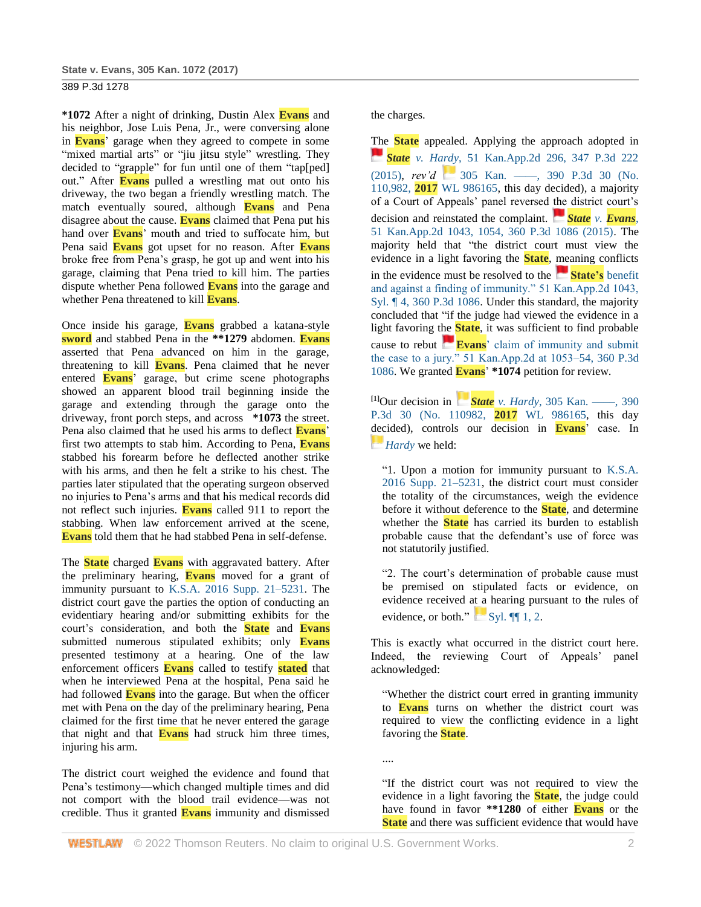**\*1072** After a night of drinking, Dustin Alex **Evans** and his neighbor, Jose Luis Pena, Jr., were conversing alone in **Evans**' garage when they agreed to compete in some "mixed martial arts" or "jiu jitsu style" wrestling. They decided to "grapple" for fun until one of them "tap[ped] out." After **Evans** pulled a wrestling mat out onto his driveway, the two began a friendly wrestling match. The match eventually soured, although **Evans** and Pena disagree about the cause. **Evans** claimed that Pena put his hand over **Evans**' mouth and tried to suffocate him, but Pena said **Evans** got upset for no reason. After **Evans** broke free from Pena's grasp, he got up and went into his garage, claiming that Pena tried to kill him. The parties dispute whether Pena followed **Evans** into the garage and whether Pena threatened to kill **Evans**.

Once inside his garage, **Evans** grabbed a katana-style **sword** and stabbed Pena in the **\*\*1279** abdomen. **Evans** asserted that Pena advanced on him in the garage, threatening to kill **Evans**. Pena claimed that he never entered **Evans**' garage, but crime scene photographs showed an apparent blood trail beginning inside the garage and extending through the garage onto the driveway, front porch steps, and across **\*1073** the street. Pena also claimed that he used his arms to deflect **Evans**' first two attempts to stab him. According to Pena, **Evans** stabbed his forearm before he deflected another strike with his arms, and then he felt a strike to his chest. The parties later stipulated that the operating surgeon observed no injuries to Pena's arms and that his medical records did not reflect such injuries. **Evans** called 911 to report the stabbing. When law enforcement arrived at the scene, **Evans** told them that he had stabbed Pena in self-defense.

The **State** charged **Evans** with aggravated battery. After the preliminary hearing, **Evans** moved for a grant of immunity pursuant to [K.S.A. 2016 Supp. 21–5231.](http://www.westlaw.com/Link/Document/FullText?findType=L&pubNum=1001553&cite=KSSTS21-5231&originatingDoc=Ie55e1340099e11e79c1dcfeada4fe8e0&refType=LQ&originationContext=document&vr=3.0&rs=cblt1.0&transitionType=DocumentItem&contextData=(sc.Search)) The district court gave the parties the option of conducting an evidentiary hearing and/or submitting exhibits for the court's consideration, and both the **State** and **Evans** submitted numerous stipulated exhibits; only **Evans** presented testimony at a hearing. One of the law enforcement officers **Evans** called to testify **stated** that when he interviewed Pena at the hospital, Pena said he had followed **Evans** into the garage. But when the officer met with Pena on the day of the preliminary hearing, Pena claimed for the first time that he never entered the garage that night and that **Evans** had struck him three times, injuring his arm.

The district court weighed the evidence and found that Pena's testimony—which changed multiple times and did not comport with the blood trail evidence—was not credible. Thus it granted **Evans** immunity and dismissed the charges.

The **State** appealed. Applying the approach adopted in *[S](https://1.next.westlaw.com/Link/RelatedInformation/Flag?documentGuid=I5df036e0d52411e4b4bafa136b480ad2&transitionType=InlineKeyCiteFlags&originationContext=docHeaderFlag&Rank=2&ppcid=01f5a6dbba2245448f3d77a52ea341ec&contextData=(sc.Search))tate v. Hardy*[, 51 Kan.App.2d 296, 347 P.3d 222](https://1.next.westlaw.com/Link/RelatedInformation/Flag?documentGuid=I5df036e0d52411e4b4bafa136b480ad2&transitionType=InlineKeyCiteFlags&originationContext=docHeaderFlag&Rank=2&ppcid=01f5a6dbba2245448f3d77a52ea341ec&contextData=(sc.Search))  [\(2015\),](http://www.westlaw.com/Link/Document/FullText?findType=Y&serNum=2035710271&pubNum=0004645&originatingDoc=Ie55e1340099e11e79c1dcfeada4fe8e0&refType=RP&originationContext=document&vr=3.0&rs=cblt1.0&transitionType=DocumentItem&contextData=(sc.Search)) *rev'd* 305 Kan. —, 390 P.3d 30 (No. 110,982, **2017** [WL 986165,](http://www.westlaw.com/Link/Document/FullText?findType=Y&serNum=2041235268&pubNum=0000999&originatingDoc=Ie55e1340099e11e79c1dcfeada4fe8e0&refType=RP&originationContext=document&vr=3.0&rs=cblt1.0&transitionType=DocumentItem&contextData=(sc.Search)) this day decided), a majority of a Court of Appeals' panel reversed the district court's decision and reinstated the complaint. *[S](https://1.next.westlaw.com/Link/RelatedInformation/Flag?documentGuid=I281fbf097aa111e5a807ad48145ed9f1&transitionType=InlineKeyCiteFlags&originationContext=docHeaderFlag&Rank=2&ppcid=01f5a6dbba2245448f3d77a52ea341ec&contextData=(sc.Search))tate v. [Evans](https://1.next.westlaw.com/Link/RelatedInformation/Flag?documentGuid=I281fbf097aa111e5a807ad48145ed9f1&transitionType=InlineKeyCiteFlags&originationContext=docHeaderFlag&Rank=2&ppcid=01f5a6dbba2245448f3d77a52ea341ec&contextData=(sc.Search))*, [51 Kan.App.2d 1043, 1054, 360 P.3d 1086 \(2015\).](http://www.westlaw.com/Link/Document/FullText?findType=Y&serNum=2037450044&pubNum=0000460&originatingDoc=Ie55e1340099e11e79c1dcfeada4fe8e0&refType=RP&fi=co_pp_sp_460_1054&originationContext=document&vr=3.0&rs=cblt1.0&transitionType=DocumentItem&contextData=(sc.Search)#co_pp_sp_460_1054) The majority held that "the district court must view the evidence in a light favoring the **State**, meaning conflicts in the evidence must be resolved to the **[S](https://1.next.westlaw.com/Link/RelatedInformation/Flag?documentGuid=I281fbf097aa111e5a807ad48145ed9f1&transitionType=InlineKeyCiteFlags&originationContext=docHeaderFlag&Rank=2&ppcid=01f5a6dbba2245448f3d77a52ea341ec&contextData=(sc.Search))tate's** [benefit](https://1.next.westlaw.com/Link/RelatedInformation/Flag?documentGuid=I281fbf097aa111e5a807ad48145ed9f1&transitionType=InlineKeyCiteFlags&originationContext=docHeaderFlag&Rank=2&ppcid=01f5a6dbba2245448f3d77a52ea341ec&contextData=(sc.Search))  [and against a finding of immunity." 51 Kan.App.2d 1043,](http://www.westlaw.com/Link/Document/FullText?findType=Y&serNum=2037450044&pubNum=0004645&originatingDoc=Ie55e1340099e11e79c1dcfeada4fe8e0&refType=RP&originationContext=document&vr=3.0&rs=cblt1.0&transitionType=DocumentItem&contextData=(sc.Search))  [Syl. ¶ 4, 360 P.3d 1086.](http://www.westlaw.com/Link/Document/FullText?findType=Y&serNum=2037450044&pubNum=0004645&originatingDoc=Ie55e1340099e11e79c1dcfeada4fe8e0&refType=RP&originationContext=document&vr=3.0&rs=cblt1.0&transitionType=DocumentItem&contextData=(sc.Search)) Under this standard, the majority concluded that "if the judge had viewed the evidence in a light favoring the **State**, it was sufficient to find probable cause to rebut **[E](https://1.next.westlaw.com/Link/RelatedInformation/Flag?documentGuid=I281fbf097aa111e5a807ad48145ed9f1&transitionType=InlineKeyCiteFlags&originationContext=docHeaderFlag&Rank=2&ppcid=01f5a6dbba2245448f3d77a52ea341ec&contextData=(sc.Search))vans**[' claim of immunity and submit](https://1.next.westlaw.com/Link/RelatedInformation/Flag?documentGuid=I281fbf097aa111e5a807ad48145ed9f1&transitionType=InlineKeyCiteFlags&originationContext=docHeaderFlag&Rank=2&ppcid=01f5a6dbba2245448f3d77a52ea341ec&contextData=(sc.Search))  [the case to a jury." 51 Kan.App.2d at 1053–54, 360 P.3d](http://www.westlaw.com/Link/Document/FullText?findType=Y&serNum=2037450044&pubNum=0004645&originatingDoc=Ie55e1340099e11e79c1dcfeada4fe8e0&refType=RP&originationContext=document&vr=3.0&rs=cblt1.0&transitionType=DocumentItem&contextData=(sc.Search))  [1086.](http://www.westlaw.com/Link/Document/FullText?findType=Y&serNum=2037450044&pubNum=0004645&originatingDoc=Ie55e1340099e11e79c1dcfeada4fe8e0&refType=RP&originationContext=document&vr=3.0&rs=cblt1.0&transitionType=DocumentItem&contextData=(sc.Search)) We granted **Evans**' **\*1074** petition for review.

**[1]**Our decision in *[S](https://1.next.westlaw.com/Link/RelatedInformation/Flag?documentGuid=Iac380380098211e7b984d2f99f0977c6&transitionType=InlineKeyCiteFlags&originationContext=docHeaderFlag&Rank=2&ppcid=01f5a6dbba2245448f3d77a52ea341ec&contextData=(sc.Search))tate v. Hardy*[, 305 Kan. ––––, 390](https://1.next.westlaw.com/Link/RelatedInformation/Flag?documentGuid=Iac380380098211e7b984d2f99f0977c6&transitionType=InlineKeyCiteFlags&originationContext=docHeaderFlag&Rank=2&ppcid=01f5a6dbba2245448f3d77a52ea341ec&contextData=(sc.Search))  [P.3d 30 \(No. 110982,](http://www.westlaw.com/Link/Document/FullText?findType=Y&serNum=2041235268&pubNum=0004645&originatingDoc=Ie55e1340099e11e79c1dcfeada4fe8e0&refType=RP&originationContext=document&vr=3.0&rs=cblt1.0&transitionType=DocumentItem&contextData=(sc.Search)) **2017** WL 986165, this day decided), controls our decision in **Evans**' case. In *[Hardy](https://1.next.westlaw.com/Link/RelatedInformation/Flag?documentGuid=Iac380380098211e7b984d2f99f0977c6&transitionType=InlineKeyCiteFlags&originationContext=docHeaderFlag&Rank=2&ppcid=01f5a6dbba2245448f3d77a52ea341ec&contextData=(sc.Search))* we held:

"1. Upon a motion for immunity pursuant to [K.S.A.](http://www.westlaw.com/Link/Document/FullText?findType=L&pubNum=1001553&cite=KSSTS21-5231&originatingDoc=Ie55e1340099e11e79c1dcfeada4fe8e0&refType=LQ&originationContext=document&vr=3.0&rs=cblt1.0&transitionType=DocumentItem&contextData=(sc.Search))  [2016 Supp. 21–5231,](http://www.westlaw.com/Link/Document/FullText?findType=L&pubNum=1001553&cite=KSSTS21-5231&originatingDoc=Ie55e1340099e11e79c1dcfeada4fe8e0&refType=LQ&originationContext=document&vr=3.0&rs=cblt1.0&transitionType=DocumentItem&contextData=(sc.Search)) the district court must consider the totality of the circumstances, weigh the evidence before it without deference to the **State**, and determine whether the **State** has carried its burden to establish probable cause that the defendant's use of force was not statutorily justified.

"2. The court's determination of probable cause must be premised on stipulated facts or evidence, on evidence received at a hearing pursuant to the rules of evidence, or both."  $Syl. \P 1, 2$ .

This is exactly what occurred in the district court here. Indeed, the reviewing Court of Appeals' panel acknowledged:

"Whether the district court erred in granting immunity to **Evans** turns on whether the district court was required to view the conflicting evidence in a light favoring the **State**.

....

"If the district court was not required to view the evidence in a light favoring the **State**, the judge could have found in favor **\*\*1280** of either **Evans** or the **State** and there was sufficient evidence that would have